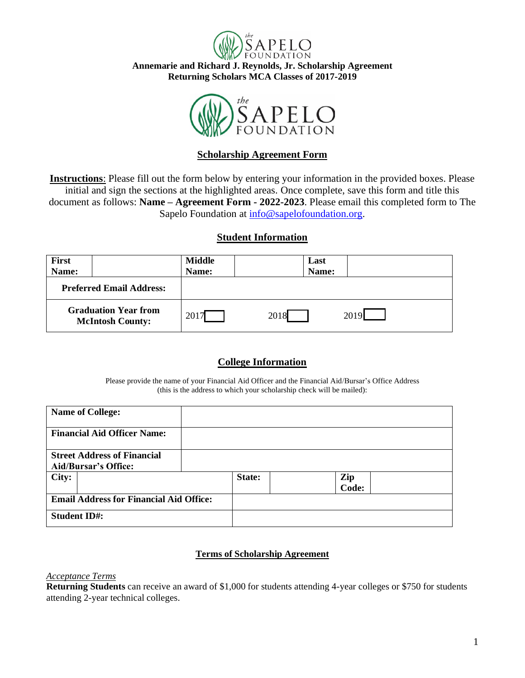

**Annemarie and Richard J. Reynolds, Jr. Scholarship Agreement Returning Scholars MCA Classes of 2017-2019**



# **Scholarship Agreement Form**

**Instructions**: Please fill out the form below by entering your information in the provided boxes. Please initial and sign the sections at the highlighted areas. Once complete, save this form and title this document as follows: **Name – Agreement Form - 2022-2023**. Please email this completed form to The Sapelo Foundation at [info@sapelofoundation.org.](mailto:info@sapelofoundation.org)

# **Student Information**

| <b>First</b>                                           |  | <b>Middle</b> |      | Last  |      |
|--------------------------------------------------------|--|---------------|------|-------|------|
| Name:                                                  |  | Name:         |      | Name: |      |
| <b>Preferred Email Address:</b>                        |  |               |      |       |      |
| <b>Graduation Year from</b><br><b>McIntosh County:</b> |  | $201^{\circ}$ | 2018 |       | 2019 |

# **College Information**

Please provide the name of your Financial Aid Officer and the Financial Aid/Bursar's Office Address (this is the address to which your scholarship check will be mailed):

| <b>Name of College:</b>                                           |        |              |
|-------------------------------------------------------------------|--------|--------------|
| <b>Financial Aid Officer Name:</b>                                |        |              |
| <b>Street Address of Financial</b><br><b>Aid/Bursar's Office:</b> |        |              |
| City:                                                             | State: | Zip<br>Code: |
| <b>Email Address for Financial Aid Office:</b>                    |        |              |
| <b>Student ID#:</b>                                               |        |              |

## **Terms of Scholarship Agreement**

## *Acceptance Terms*

**Returning Students** can receive an award of \$1,000 for students attending 4-year colleges or \$750 for students attending 2-year technical colleges.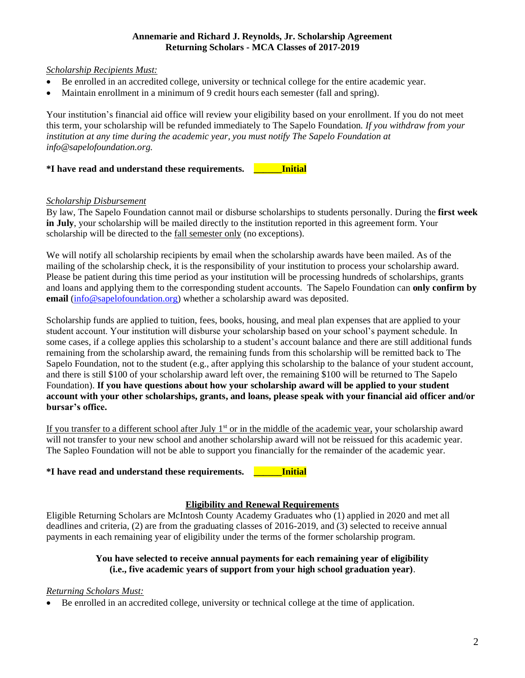#### **Annemarie and Richard J. Reynolds, Jr. Scholarship Agreement Returning Scholars - MCA Classes of 2017-2019**

*Scholarship Recipients Must:*

- Be enrolled in an accredited college, university or technical college for the entire academic year.
- Maintain enrollment in a minimum of 9 credit hours each semester (fall and spring).

Your institution's financial aid office will review your eligibility based on your enrollment. If you do not meet this term, your scholarship will be refunded immediately to The Sapelo Foundation*. If you withdraw from your institution at any time during the academic year, you must notify The Sapelo Foundation at info@sapelofoundation.org.*

**\*I have read and understand these requirements. \_\_\_\_\_\_Initial**

### *Scholarship Disbursement*

By law, The Sapelo Foundation cannot mail or disburse scholarships to students personally. During the **first week in July**, your scholarship will be mailed directly to the institution reported in this agreement form. Your scholarship will be directed to the fall semester only (no exceptions).

We will notify all scholarship recipients by email when the scholarship awards have been mailed. As of the mailing of the scholarship check, it is the responsibility of your institution to process your scholarship award. Please be patient during this time period as your institution will be processing hundreds of scholarships, grants and loans and applying them to the corresponding student accounts. The Sapelo Foundation can **only confirm by email** [\(info@sapelofoundation.org\)](mailto:info@sapelofoundation.org) whether a scholarship award was deposited.

Scholarship funds are applied to tuition, fees, books, housing, and meal plan expenses that are applied to your student account. Your institution will disburse your scholarship based on your school's payment schedule. In some cases, if a college applies this scholarship to a student's account balance and there are still additional funds remaining from the scholarship award, the remaining funds from this scholarship will be remitted back to The Sapelo Foundation, not to the student (e.g., after applying this scholarship to the balance of your student account, and there is still \$100 of your scholarship award left over, the remaining \$100 will be returned to The Sapelo Foundation). **If you have questions about how your scholarship award will be applied to your student account with your other scholarships, grants, and loans, please speak with your financial aid officer and/or bursar's office.**

If you transfer to a different school after July  $1<sup>st</sup>$  or in the middle of the academic year, your scholarship award will not transfer to your new school and another scholarship award will not be reissued for this academic year. The Sapleo Foundation will not be able to support you financially for the remainder of the academic year.

## **\*I have read and understand these requirements. \_\_\_\_\_\_Initial**

### **Eligibility and Renewal Requirements**

Eligible Returning Scholars are McIntosh County Academy Graduates who (1) applied in 2020 and met all deadlines and criteria, (2) are from the graduating classes of 2016-2019, and (3) selected to receive annual payments in each remaining year of eligibility under the terms of the former scholarship program.

## **You have selected to receive annual payments for each remaining year of eligibility (i.e., five academic years of support from your high school graduation year)**.

### *Returning Scholars Must:*

Be enrolled in an accredited college, university or technical college at the time of application.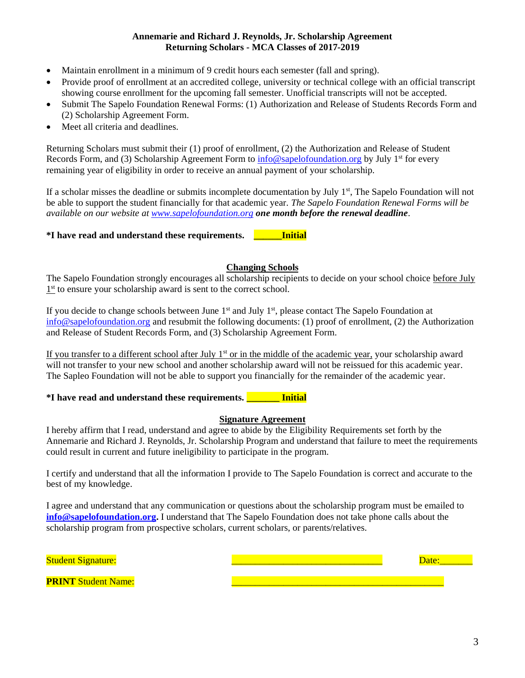#### **Annemarie and Richard J. Reynolds, Jr. Scholarship Agreement Returning Scholars - MCA Classes of 2017-2019**

- Maintain enrollment in a minimum of 9 credit hours each semester (fall and spring).
- Provide proof of enrollment at an accredited college, university or technical college with an official transcript showing course enrollment for the upcoming fall semester. Unofficial transcripts will not be accepted.
- Submit The Sapelo Foundation Renewal Forms: (1) Authorization and Release of Students Records Form and (2) Scholarship Agreement Form.
- Meet all criteria and deadlines.

Returning Scholars must submit their (1) proof of enrollment, (2) the Authorization and Release of Student Records Form, and (3) Scholarship Agreement Form to [info@sapelofoundation.org](mailto:info@sapelofoundation.org) by July 1<sup>st</sup> for every remaining year of eligibility in order to receive an annual payment of your scholarship.

If a scholar misses the deadline or submits incomplete documentation by July  $1<sup>st</sup>$ , The Sapelo Foundation will not be able to support the student financially for that academic year. *The Sapelo Foundation Renewal Forms will be available on our website at [www.sapelofoundation.org](http://www.sapelofoundation.org/) one month before the renewal deadline*.

**\*I have read and understand these requirements. \_\_\_\_\_\_Initial**

## **Changing Schools**

The Sapelo Foundation strongly encourages all scholarship recipients to decide on your school choice before July  $1<sup>st</sup>$  to ensure your scholarship award is sent to the correct school.

If you decide to change schools between June 1<sup>st</sup> and July 1<sup>st</sup>, please contact The Sapelo Foundation at [info@sapelofoundation.org](mailto:info@sapelofoundation.org) and resubmit the following documents: (1) proof of enrollment, (2) the Authorization and Release of Student Records Form, and (3) Scholarship Agreement Form.

If you transfer to a different school after July  $1<sup>st</sup>$  or in the middle of the academic year, your scholarship award will not transfer to your new school and another scholarship award will not be reissued for this academic year. The Sapleo Foundation will not be able to support you financially for the remainder of the academic year.

## **\*I have read and understand these requirements. \_\_\_\_\_\_\_ Initial**

## **Signature Agreement**

I hereby affirm that I read, understand and agree to abide by the Eligibility Requirements set forth by the Annemarie and Richard J. Reynolds, Jr. Scholarship Program and understand that failure to meet the requirements could result in current and future ineligibility to participate in the program.

I certify and understand that all the information I provide to The Sapelo Foundation is correct and accurate to the best of my knowledge.

I agree and understand that any communication or questions about the scholarship program must be emailed to **[info@sapelofoundation.org.](mailto:info@sapelofoundation.org)** I understand that The Sapelo Foundation does not take phone calls about the scholarship program from prospective scholars, current scholars, or parents/relatives.

| <b>Student Signature:</b>  |  |
|----------------------------|--|
|                            |  |
| <b>PRINT Student Name:</b> |  |